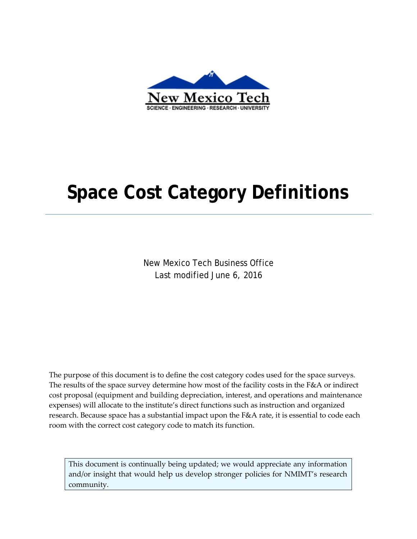

# **Space Cost Category Definitions**

New Mexico Tech Business Office Last modified June 6, 2016

The purpose of this document is to define the cost category codes used for the space surveys. The results of the space survey determine how most of the facility costs in the F&A or indirect cost proposal (equipment and building depreciation, interest, and operations and maintenance expenses) will allocate to the institute's direct functions such as instruction and organized research. Because space has a substantial impact upon the F&A rate, it is essential to code each room with the correct cost category code to match its function.

This document is continually being updated; we would appreciate any information and/or insight that would help us develop stronger policies for NMIMT's research community.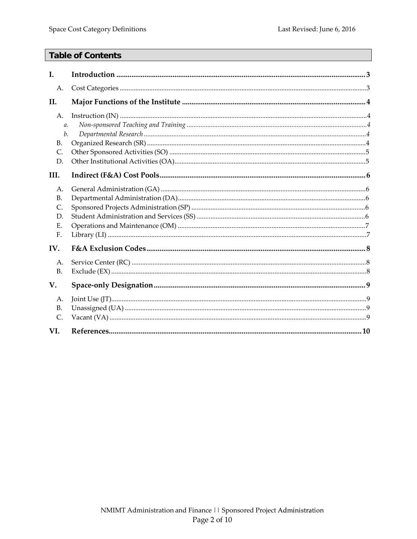# **Table of Contents**

| I.                                      |  |
|-----------------------------------------|--|
| A.                                      |  |
| II.                                     |  |
| A.<br>$\mathfrak{a}.$<br>b.             |  |
| <b>B.</b><br>C.<br>D.<br>III.           |  |
| А.<br><b>B.</b><br>C.<br>D.<br>Е.<br>F. |  |
| IV.                                     |  |
| A.<br>B <sub>1</sub>                    |  |
| V.                                      |  |
| A.<br><b>B.</b><br>$\mathsf{C}$ .       |  |
| VI.                                     |  |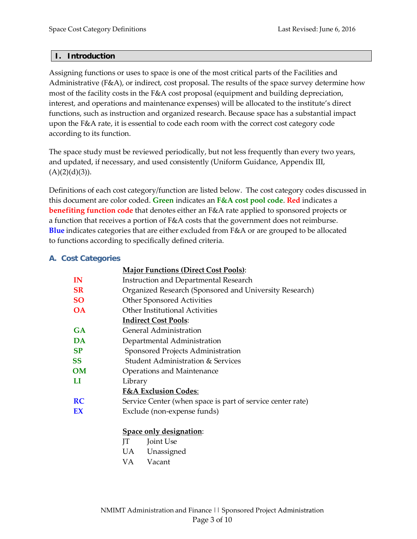#### **I. Introduction**

Assigning functions or uses to space is one of the most critical parts of the Facilities and Administrative ( $F\&A$ ), or indirect, cost proposal. The results of the space survey determine how most of the facility costs in the F&A cost proposal (equipment and building depreciation, interest, and operations and maintenance expenses) will be allocated to the institute's direct functions, such as instruction and organized research. Because space has a substantial impact upon the F&A rate, it is essential to code each room with the correct cost category code according to its function.

The space study must be reviewed periodically, but not less frequently than every two years, and updated, if necessary, and used consistently (Uniform Guidance, Appendix III,  $(A)(2)(d)(3)$ ).

Definitions of each cost category/function are listed below. The cost category codes discussed in this document are color coded. **Green** indicates an **F&A cost pool code**. **Red** indicates a **benefiting function code** that denotes either an F&A rate applied to sponsored projects or a function that receives a portion of F&A costs that the government does not reimburse. **Blue** indicates categories that are either excluded from F&A or are grouped to be allocated to functions according to specifically defined criteria.

#### **A. Cost Categories**

|           | <b>Major Functions (Direct Cost Pools):</b>                |
|-----------|------------------------------------------------------------|
| IN        | Instruction and Departmental Research                      |
| <b>SR</b> | Organized Research (Sponsored and University Research)     |
| <b>SO</b> | <b>Other Sponsored Activities</b>                          |
| <b>OA</b> | Other Institutional Activities                             |
|           | <b>Indirect Cost Pools:</b>                                |
| <b>GA</b> | General Administration                                     |
| <b>DA</b> | Departmental Administration                                |
| <b>SP</b> | Sponsored Projects Administration                          |
| SS        | Student Administration & Services                          |
| OМ        | Operations and Maintenance                                 |
| LI        | Library                                                    |
|           | <b>F&amp;A Exclusion Codes:</b>                            |
| <b>RC</b> | Service Center (when space is part of service center rate) |
| EX        | Exclude (non-expense funds)                                |

#### **Space only designation**:

- JT Joint Use
- UA Unassigned
- VA Vacant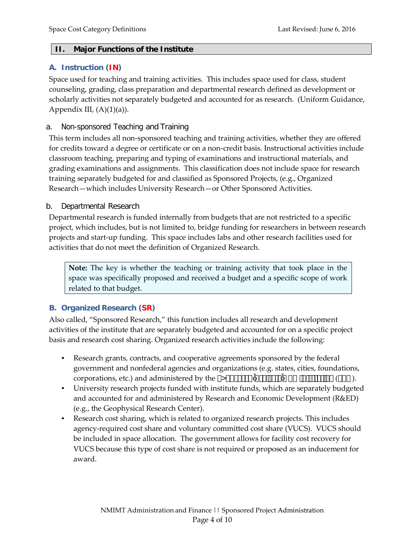#### **II. Major Functions of the Institute**

#### **A. Instruction (IN)**

Space used for teaching and training activities. This includes space used for class, student counseling, grading, class preparation and departmental research defined as development or scholarly activities not separately budgeted and accounted for as research. (Uniform Guidance, Appendix III,  $(A)(1)(a)$ ).

#### a. Non-sponsored Teaching and Training

This term includes all non-sponsored teaching and training activities, whether they are offered for credits toward a degree or certificate or on a non-credit basis. Instructional activities include classroom teaching, preparing and typing of examinations and instructional materials, and grading examinations and assignments. This classification does not include space for research training separately budgeted for and classified as Sponsored Projects, (e.g., Organized Research—which includes University Research—or Other Sponsored Activities.

#### b. Departmental Research

Departmental research is funded internally from budgets that are not restricted to a specific project, which includes, but is not limited to, bridge funding for researchers in between research projects and start-up funding. This space includes labs and other research facilities used for activities that do not meet the definition of Organized Research.

**Note:** The key is whether the teaching or training activity that took place in the space was specifically proposed and received a budget and a specific scope of work related to that budget.

#### **B. Organized Research (SR)**

Also called, "Sponsored Research," this function includes all research and development activities of the institute that are separately budgeted and accounted for on a specific project basis and research cost sharing. Organized research activities include the following:

- Research grants, contracts, and cooperative agreements sponsored by the federal government and nonfederal agencies and organizations (e.g. states, cities, foundations, corporations, etc.) and administered by the  $\&^2 \pm \int \vec{k} \times \vec{k} = |\cdot| \cdot \int \vec{k} \times \vec{k} = \pm \int \vec{k} \times \vec{k}$ .
- University research projects funded with institute funds, which are separately budgeted and accounted for and administered by Research and Economic Development (R&ED) (e.g., the Geophysical Research Center).
- Research cost sharing, which is related to organized research projects. This includes agency-required cost share and voluntary committed cost share (VUCS). VUCS should be included in space allocation. The government allows for facility cost recovery for VUCS because this type of cost share is not required or proposed as an inducement for award.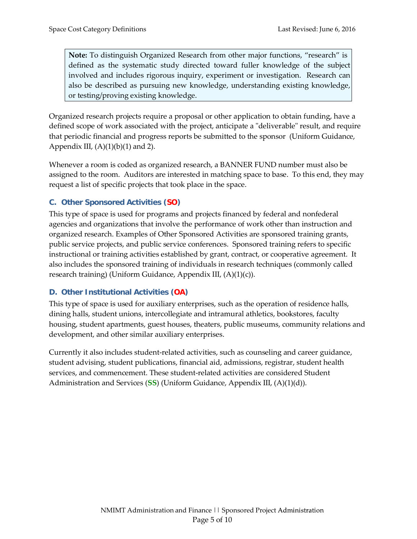**Note:** To distinguish Organized Research from other major functions, "research" is defined as the systematic study directed toward fuller knowledge of the subject involved and includes rigorous inquiry, experiment or investigation. Research can also be described as pursuing new knowledge, understanding existing knowledge, or testing/proving existing knowledge.

Organized research projects require a proposal or other application to obtain funding, have a defined scope of work associated with the project, anticipate a "deliverable" result, and require that periodic financial and progress reports be submitted to the sponsor (Uniform Guidance, Appendix III,  $(A)(1)(b)(1)$  and 2).

Whenever a room is coded as organized research, a BANNER FUND number must also be assigned to the room. Auditors are interested in matching space to base. To this end, they may request a list of specific projects that took place in the space.

# **C. Other Sponsored Activities (SO)**

This type of space is used for programs and projects financed by federal and nonfederal agencies and organizations that involve the performance of work other than instruction and organized research. Examples of Other Sponsored Activities are sponsored training grants, public service projects, and public service conferences. Sponsored training refers to specific instructional or training activities established by grant, contract, or cooperative agreement. It also includes the sponsored training of individuals in research techniques (commonly called research training) (Uniform Guidance, Appendix III, (A)(1)(c)).

# **D. Other Institutional Activities (OA)**

This type of space is used for auxiliary enterprises, such as the operation of residence halls, dining halls, student unions, intercollegiate and intramural athletics, bookstores, faculty housing, student apartments, guest houses, theaters, public museums, community relations and development, and other similar auxiliary enterprises.

Currently it also includes student-related activities, such as counseling and career guidance, student advising, student publications, financial aid, admissions, registrar, student health services, and commencement. These student-related activities are considered Student Administration and Services (**SS**) (Uniform Guidance, Appendix III, (A)(1)(d)).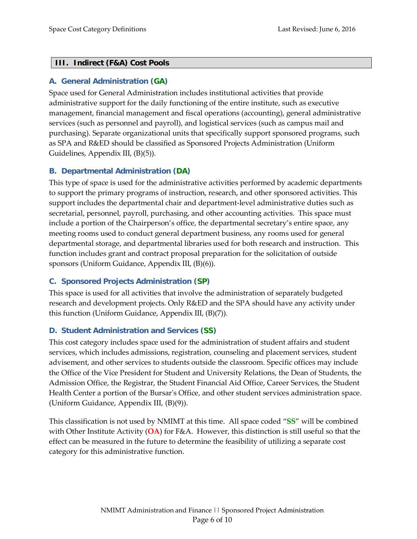#### **III. Indirect (F&A) Cost Pools**

#### **A. General Administration (GA)**

Space used for General Administration includes institutional activities that provide administrative support for the daily functioning of the entire institute, such as executive management, financial management and fiscal operations (accounting), general administrative services (such as personnel and payroll), and logistical services (such as campus mail and purchasing). Separate organizational units that specifically support sponsored programs, such as SPA and R&ED should be classified as Sponsored Projects Administration (Uniform Guidelines, Appendix III, (B)(5)).

#### **B. Departmental Administration (DA)**

This type of space is used for the administrative activities performed by academic departments to support the primary programs of instruction, research, and other sponsored activities. This support includes the departmental chair and department-level administrative duties such as secretarial, personnel, payroll, purchasing, and other accounting activities. This space must include a portion of the Chairperson's office, the departmental secretary's entire space, any meeting rooms used to conduct general department business, any rooms used for general departmental storage, and departmental libraries used for both research and instruction. This function includes grant and contract proposal preparation for the solicitation of outside sponsors (Uniform Guidance, Appendix III, (B)(6)).

#### **C. Sponsored Projects Administration (SP)**

This space is used for all activities that involve the administration of separately budgeted research and development projects. Only R&ED and the SPA should have any activity under this function (Uniform Guidance, Appendix III, (B)(7)).

#### **D. Student Administration and Services (SS)**

This cost category includes space used for the administration of student affairs and student services, which includes admissions, registration, counseling and placement services, student advisement, and other services to students outside the classroom. Specific offices may include the Office of the Vice President for Student and University Relations, the Dean of Students, the Admission Office, the Registrar, the Student Financial Aid Office, Career Services, the Student Health Center a portion of the Bursar's Office, and other student services administration space. (Uniform Guidance, Appendix III, (B)(9)).

This classification is not used by NMIMT at this time. All space coded "**SS**" will be combined with Other Institute Activity (**OA**) for F&A. However, this distinction is still useful so that the effect can be measured in the future to determine the feasibility of utilizing a separate cost category for this administrative function.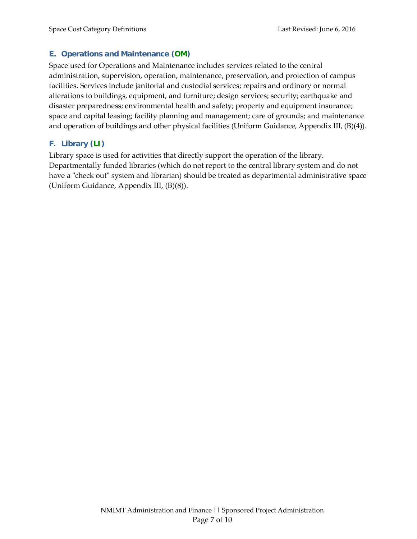#### **E. Operations and Maintenance (OM)**

Space used for Operations and Maintenance includes services related to the central administration, supervision, operation, maintenance, preservation, and protection of campus facilities. Services include janitorial and custodial services; repairs and ordinary or normal alterations to buildings, equipment, and furniture; design services; security; earthquake and disaster preparedness; environmental health and safety; property and equipment insurance; space and capital leasing; facility planning and management; care of grounds; and maintenance and operation of buildings and other physical facilities (Uniform Guidance, Appendix III, (B)(4)).

### **F. Library (LI)**

Library space is used for activities that directly support the operation of the library. Departmentally funded libraries (which do not report to the central library system and do not have a "check out" system and librarian) should be treated as departmental administrative space (Uniform Guidance, Appendix III, (B)(8)).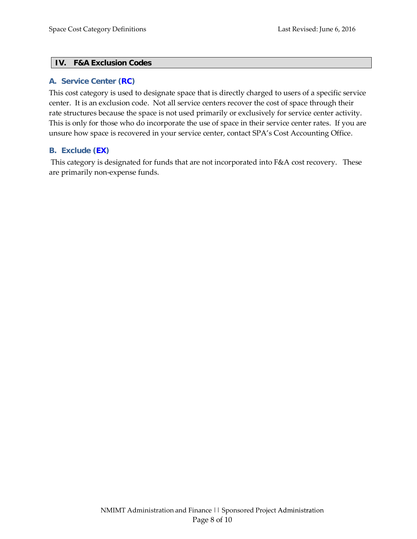#### **IV. F&A Exclusion Codes**

#### **A. Service Center (RC)**

This cost category is used to designate space that is directly charged to users of a specific service center. It is an exclusion code. Not all service centers recover the cost of space through their rate structures because the space is not used primarily or exclusively for service center activity. This is only for those who do incorporate the use of space in their service center rates. If you are unsure how space is recovered in your service center, contact SPA's Cost Accounting Office.

#### **B. Exclude (EX)**

This category is designated for funds that are not incorporated into F&A cost recovery. These are primarily non-expense funds.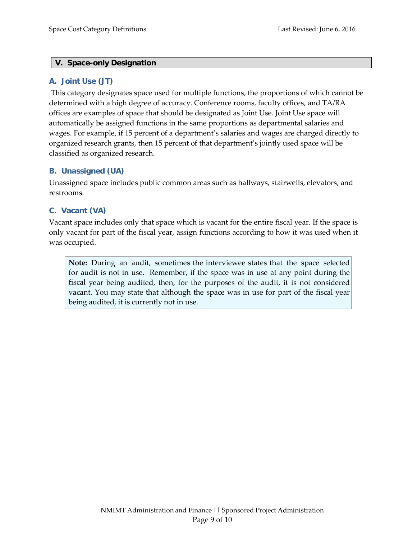#### **V. Space-only Designation**

#### **A. Joint Use (JT)**

This category designates space used for multiple functions, the proportions of which cannot be determined with a high degree of accuracy. Conference rooms, faculty offices, and TA/RA offices are examples of space that should be designated as Joint Use. Joint Use space will automatically be assigned functions in the same proportions as departmental salaries and wages. For example, if 15 percent of a department's salaries and wages are charged directly to organized research grants, then 15 percent of that department's jointly used space will be classified as organized research.

#### **B. Unassigned (UA)**

Unassigned space includes public common areas such as hallways, stairwells, elevators, and restrooms.

#### **C. Vacant (VA)**

Vacant space includes only that space which is vacant for the entire fiscal year. If the space is only vacant for part of the fiscal year, assign functions according to how it was used when it was occupied.

**Note:** During an audit, sometimes the interviewee states that the space selected for audit is not in use. Remember, if the space was in use at any point during the fiscal year being audited, then, for the purposes of the audit, it is not considered vacant. You may state that although the space was in use for part of the fiscal year being audited, it is currently not in use.